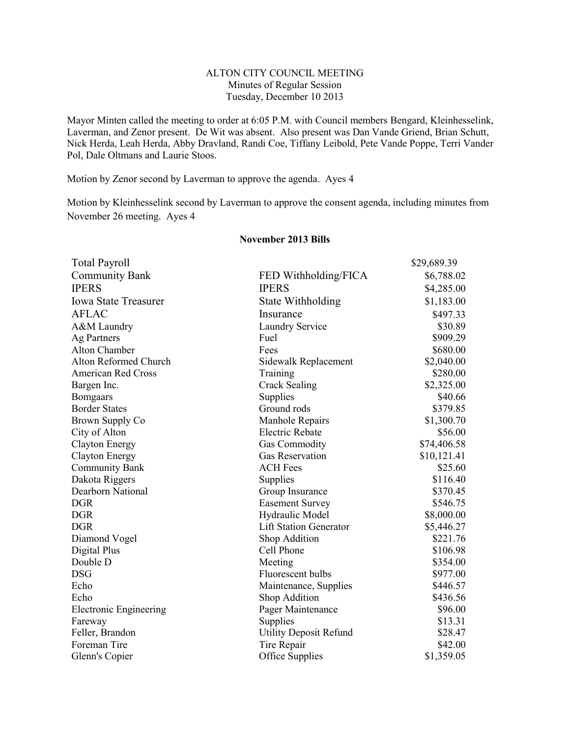## ALTON CITY COUNCIL MEETING Minutes of Regular Session Tuesday, December 10 2013

Mayor Minten called the meeting to order at 6:05 P.M. with Council members Bengard, Kleinhesselink, Laverman, and Zenor present. De Wit was absent. Also present was Dan Vande Griend, Brian Schutt, Nick Herda, Leah Herda, Abby Dravland, Randi Coe, Tiffany Leibold, Pete Vande Poppe, Terri Vander Pol, Dale Oltmans and Laurie Stoos.

Motion by Zenor second by Laverman to approve the agenda. Ayes 4

Motion by Kleinhesselink second by Laverman to approve the consent agenda, including minutes from November 26 meeting. Ayes 4

| <b>Total Payroll</b>          |                               | \$29,689.39 |
|-------------------------------|-------------------------------|-------------|
| <b>Community Bank</b>         | FED Withholding/FICA          | \$6,788.02  |
| <b>IPERS</b>                  | <b>IPERS</b>                  | \$4,285.00  |
| <b>Iowa State Treasurer</b>   | State Withholding             | \$1,183.00  |
| <b>AFLAC</b>                  | Insurance                     | \$497.33    |
| A&M Laundry                   | <b>Laundry Service</b>        | \$30.89     |
| Ag Partners                   | Fuel                          | \$909.29    |
| Alton Chamber                 | Fees                          | \$680.00    |
| Alton Reformed Church         | Sidewalk Replacement          | \$2,040.00  |
| <b>American Red Cross</b>     | Training                      | \$280.00    |
| Bargen Inc.                   | <b>Crack Sealing</b>          | \$2,325.00  |
| <b>Bomgaars</b>               | Supplies                      | \$40.66     |
| <b>Border States</b>          | Ground rods                   | \$379.85    |
| Brown Supply Co               | Manhole Repairs               | \$1,300.70  |
| City of Alton                 | <b>Electric Rebate</b>        | \$56.00     |
| <b>Clayton Energy</b>         | <b>Gas Commodity</b>          | \$74,406.58 |
| <b>Clayton Energy</b>         | <b>Gas Reservation</b>        | \$10,121.41 |
| <b>Community Bank</b>         | <b>ACH Fees</b>               | \$25.60     |
| Dakota Riggers                | Supplies                      | \$116.40    |
| Dearborn National             | Group Insurance               | \$370.45    |
| <b>DGR</b>                    | <b>Easement Survey</b>        | \$546.75    |
| <b>DGR</b>                    | Hydraulic Model               | \$8,000.00  |
| <b>DGR</b>                    | <b>Lift Station Generator</b> | \$5,446.27  |
| Diamond Vogel                 | Shop Addition                 | \$221.76    |
| Digital Plus                  | Cell Phone                    | \$106.98    |
| Double D                      | Meeting                       | \$354.00    |
| <b>DSG</b>                    | Fluorescent bulbs             | \$977.00    |
| Echo                          | Maintenance, Supplies         | \$446.57    |
| Echo                          | Shop Addition                 | \$436.56    |
| <b>Electronic Engineering</b> | Pager Maintenance             | \$96.00     |
| Fareway                       | Supplies                      | \$13.31     |
| Feller, Brandon               | <b>Utility Deposit Refund</b> | \$28.47     |
| Foreman Tire                  | Tire Repair                   | \$42.00     |
| Glenn's Copier                | Office Supplies               | \$1,359.05  |

## **November 2013 Bills**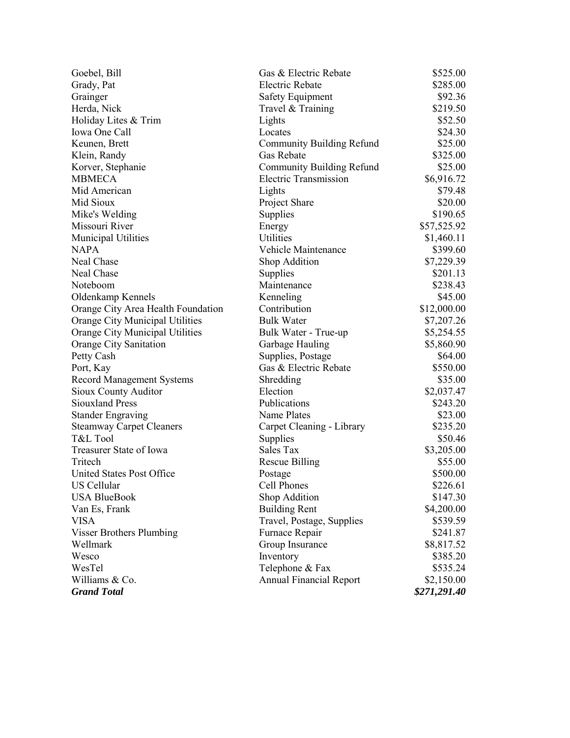| Goebel, Bill                           | Gas & Electric Rebate            | \$525.00     |
|----------------------------------------|----------------------------------|--------------|
| Grady, Pat                             | <b>Electric Rebate</b>           | \$285.00     |
| Grainger                               | <b>Safety Equipment</b>          | \$92.36      |
| Herda, Nick                            | Travel & Training                | \$219.50     |
| Holiday Lites & Trim                   | Lights                           | \$52.50      |
| Iowa One Call                          | Locates                          | \$24.30      |
| Keunen, Brett                          | <b>Community Building Refund</b> | \$25.00      |
| Klein, Randy                           | Gas Rebate                       | \$325.00     |
| Korver, Stephanie                      | Community Building Refund        | \$25.00      |
| <b>MBMECA</b>                          | <b>Electric Transmission</b>     | \$6,916.72   |
| Mid American                           | Lights                           | \$79.48      |
| Mid Sioux                              | Project Share                    | \$20.00      |
| Mike's Welding                         | Supplies                         | \$190.65     |
| Missouri River                         | Energy                           | \$57,525.92  |
| <b>Municipal Utilities</b>             | <b>Utilities</b>                 | \$1,460.11   |
| <b>NAPA</b>                            | Vehicle Maintenance              | \$399.60     |
| <b>Neal Chase</b>                      | Shop Addition                    | \$7,229.39   |
| Neal Chase                             | Supplies                         | \$201.13     |
| Noteboom                               | Maintenance                      | \$238.43     |
| Oldenkamp Kennels                      | Kenneling                        | \$45.00      |
| Orange City Area Health Foundation     | Contribution                     | \$12,000.00  |
| Orange City Municipal Utilities        | <b>Bulk Water</b>                | \$7,207.26   |
| Orange City Municipal Utilities        | Bulk Water - True-up             | \$5,254.55   |
| Orange City Sanitation                 | Garbage Hauling                  | \$5,860.90   |
| Petty Cash                             | Supplies, Postage                | \$64.00      |
| Port, Kay                              | Gas & Electric Rebate            | \$550.00     |
| <b>Record Management Systems</b>       | Shredding                        | \$35.00      |
| Sioux County Auditor                   | Election                         | \$2,037.47   |
| Publications<br><b>Siouxland Press</b> |                                  | \$243.20     |
| <b>Stander Engraving</b>               | Name Plates                      | \$23.00      |
| <b>Steamway Carpet Cleaners</b>        | Carpet Cleaning - Library        | \$235.20     |
| T&L Tool                               | Supplies                         | \$50.46      |
| Treasurer State of Iowa                | Sales Tax                        | \$3,205.00   |
| Tritech                                | <b>Rescue Billing</b>            | \$55.00      |
| <b>United States Post Office</b>       | Postage                          | \$500.00     |
| US Cellular                            | Cell Phones                      | \$226.61     |
| <b>USA BlueBook</b>                    | Shop Addition                    | \$147.30     |
| Van Es, Frank                          | <b>Building Rent</b>             | \$4,200.00   |
| <b>VISA</b>                            | Travel, Postage, Supplies        | \$539.59     |
| <b>Visser Brothers Plumbing</b>        | Furnace Repair                   | \$241.87     |
| Wellmark                               | Group Insurance                  | \$8,817.52   |
| Wesco                                  | Inventory                        | \$385.20     |
| WesTel                                 | Telephone & Fax                  | \$535.24     |
| Williams & Co.                         | <b>Annual Financial Report</b>   | \$2,150.00   |
| <b>Grand Total</b>                     |                                  | \$271,291.40 |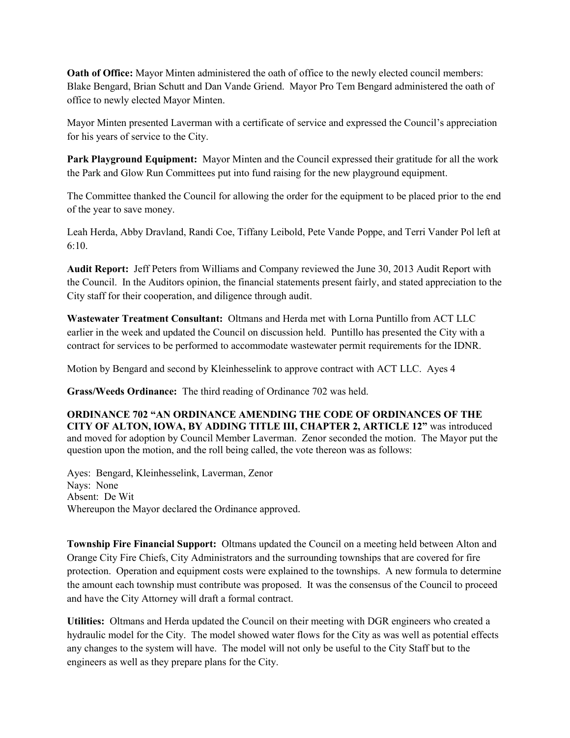**Oath of Office:** Mayor Minten administered the oath of office to the newly elected council members: Blake Bengard, Brian Schutt and Dan Vande Griend. Mayor Pro Tem Bengard administered the oath of office to newly elected Mayor Minten.

Mayor Minten presented Laverman with a certificate of service and expressed the Council's appreciation for his years of service to the City.

**Park Playground Equipment:** Mayor Minten and the Council expressed their gratitude for all the work the Park and Glow Run Committees put into fund raising for the new playground equipment.

The Committee thanked the Council for allowing the order for the equipment to be placed prior to the end of the year to save money.

Leah Herda, Abby Dravland, Randi Coe, Tiffany Leibold, Pete Vande Poppe, and Terri Vander Pol left at 6:10.

**Audit Report:** Jeff Peters from Williams and Company reviewed the June 30, 2013 Audit Report with the Council. In the Auditors opinion, the financial statements present fairly, and stated appreciation to the City staff for their cooperation, and diligence through audit.

**Wastewater Treatment Consultant:** Oltmans and Herda met with Lorna Puntillo from ACT LLC earlier in the week and updated the Council on discussion held. Puntillo has presented the City with a contract for services to be performed to accommodate wastewater permit requirements for the IDNR.

Motion by Bengard and second by Kleinhesselink to approve contract with ACT LLC. Ayes 4

**Grass/Weeds Ordinance:** The third reading of Ordinance 702 was held.

**ORDINANCE 702 "AN ORDINANCE AMENDING THE CODE OF ORDINANCES OF THE CITY OF ALTON, IOWA, BY ADDING TITLE III, CHAPTER 2, ARTICLE 12"** was introduced and moved for adoption by Council Member Laverman. Zenor seconded the motion. The Mayor put the question upon the motion, and the roll being called, the vote thereon was as follows:

Ayes: Bengard, Kleinhesselink, Laverman, Zenor Nays: None Absent: De Wit Whereupon the Mayor declared the Ordinance approved.

**Township Fire Financial Support:** Oltmans updated the Council on a meeting held between Alton and Orange City Fire Chiefs, City Administrators and the surrounding townships that are covered for fire protection. Operation and equipment costs were explained to the townships. A new formula to determine the amount each township must contribute was proposed. It was the consensus of the Council to proceed and have the City Attorney will draft a formal contract.

**Utilities:** Oltmans and Herda updated the Council on their meeting with DGR engineers who created a hydraulic model for the City. The model showed water flows for the City as was well as potential effects any changes to the system will have. The model will not only be useful to the City Staff but to the engineers as well as they prepare plans for the City.